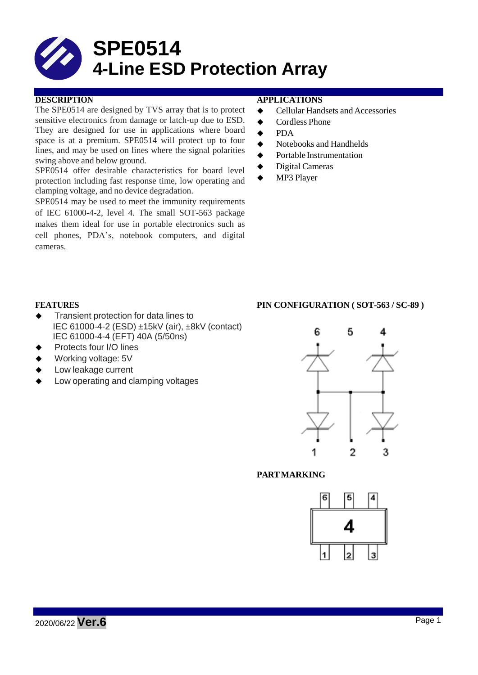

The SPE0514 are designed by TVS array that is to protect sensitive electronics from damage or latch-up due to ESD. They are designed for use in applications where board space is at a premium. SPE0514 will protect up to four lines, and may be used on lines where the signal polarities swing above and below ground.

SPE0514 offer desirable characteristics for board level protection including fast response time, low operating and clamping voltage, and no device degradation.

SPE0514 may be used to meet the immunity requirements of IEC 61000-4-2, level 4. The small SOT-563 package makes them ideal for use in portable electronics such as cell phones, PDA's, notebook computers, and digital cameras.

## **DESCRIPTION APPLICATIONS**

- ◆ Cellular Handsets and Accessories
- ◆ Cordless Phone
- **←** PDA
- $\blacklozenge$  Notebooks and Handhelds
- **◆** Portable Instrumentation
- ◆ Digital Cameras
- ◆ MP3 Player

#### **FEATURES PIN CONFIGURATION ( SOT-563 / SC-89 )**

- Transient protection for data lines to IEC 61000-4-2 (ESD) ±15kV (air), ±8kV (contact) IEC 61000-4-4 (EFT) 40A (5/50ns)
- Protects four I/O lines
- Working voltage: 5V
- Low leakage current
- Low operating and clamping voltages

# 5 ĥ Λ  $\overline{2}$ 1 3

# **PARTMARKING**

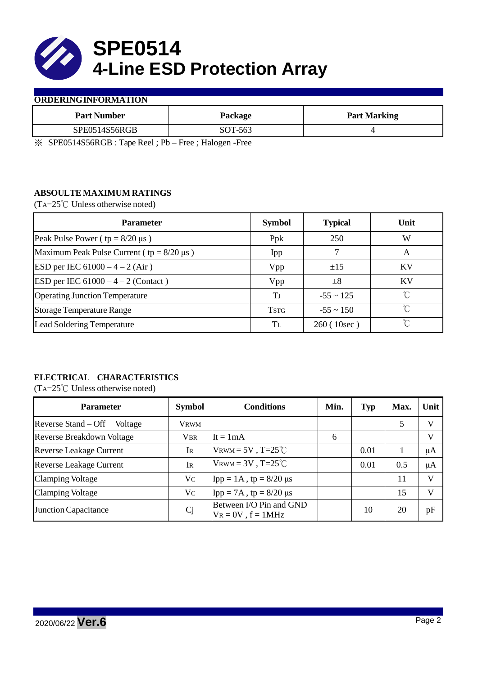

#### **ORDERINGINFORMATION**

| <b>Part Number</b> | Package | <b>Part Marking</b> |
|--------------------|---------|---------------------|
| SPE0514S56RGB      | SOT-563 |                     |

※ SPE0514S56RGB : Tape Reel ; Pb – Free ; Halogen -Free

# **ABSOULTE MAXIMUM RATINGS**

(TA=25℃ Unless otherwise noted)

| <b>Parameter</b>                                 | <b>Symbol</b> | <b>Typical</b> | Unit      |  |
|--------------------------------------------------|---------------|----------------|-----------|--|
| Peak Pulse Power ( $tp = 8/20 \mu s$ )           | Ppk           | 250            | W         |  |
| Maximum Peak Pulse Current ( $tp = 8/20 \mu s$ ) | Ipp           |                | A         |  |
| ESD per IEC $61000 - 4 - 2$ (Air)                | Vpp           | $\pm 15$       | <b>KV</b> |  |
| ESD per IEC $61000 - 4 - 2$ (Contact)            | Vpp           | $\pm 8$        | KV        |  |
| <b>Operating Junction Temperature</b>            | Tj            | $-55 \sim 125$ | ℃         |  |
| <b>Storage Temperature Range</b>                 | <b>TSTG</b>   | $-55 \sim 150$ | °∩        |  |
| Lead Soldering Temperature                       | Tī.           | 260(10sec)     | °∩        |  |

# **ELECTRICAL CHARACTERISTICS**

(TA=25℃ Unless otherwise noted)

| <b>Parameter</b>                 | <b>Symbol</b>  | <b>Conditions</b>                                  | Min. | <b>Typ</b> | Max. | Unit |
|----------------------------------|----------------|----------------------------------------------------|------|------------|------|------|
| Reverse Stand – Off<br>Voltage   | Vrwm           |                                                    |      |            |      | V    |
| <b>Reverse Breakdown Voltage</b> | <b>VBR</b>     | $It = 1mA$                                         | 6    |            |      | V    |
| <b>Reverse Leakage Current</b>   | IR             | VRWM = $5V$ , T= $25^{\circ}$ C                    |      | 0.01       |      | μA   |
| <b>Reverse Leakage Current</b>   | Ir             | $V_{\text{RWM}} = 3V$ , T=25°C                     |      | 0.01       | 0.5  | μA   |
| <b>Clamping Voltage</b>          | V <sub>C</sub> | $\text{Ipp} = 1 \text{A}$ , tp = 8/20 µs           |      |            | 11   | V    |
| <b>Clamping Voltage</b>          | Vc             | $\text{Ipp} = 7\text{A}$ , tp = 8/20 µs            |      |            | 15   | V    |
| <b>Junction Capacitance</b>      | Cj             | Between I/O Pin and GND<br>$V_R = 0V$ , $f = 1MHz$ |      | 10         | 20   | pF   |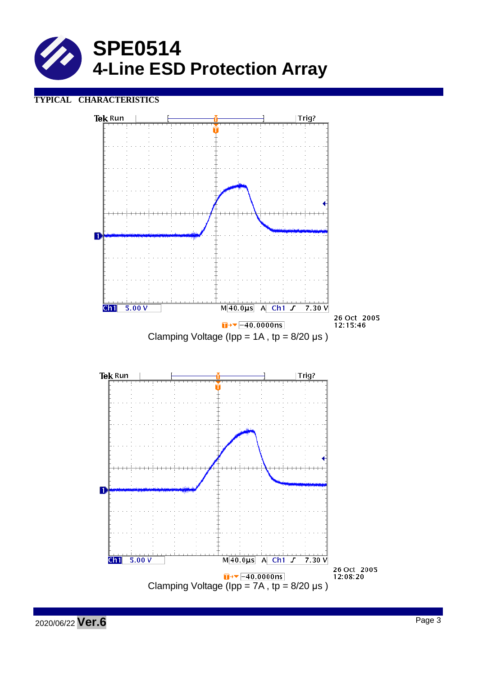

# **TYPICAL CHARACTERISTICS**



2020/06/22 **Ver.6** Page <sup>3</sup>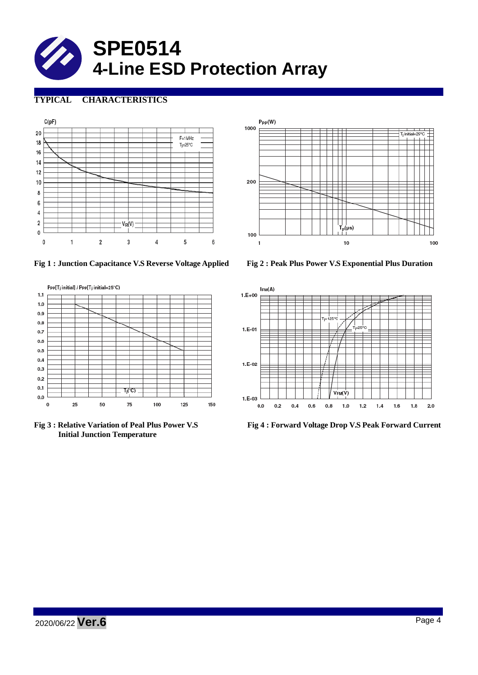

# **TYPICAL CHARACTERISTICS**





**Fig 1 : Junction Capacitance V.S Reverse Voltage Applied Fig 2 : Peak Plus Power V.S Exponential Plus Duration**



**Initial Junction Temperature**



**Fig 3 : Relative Variation of Peal Plus Power V.S Fig 4 : Forward Voltage Drop V.S Peak Forward Current**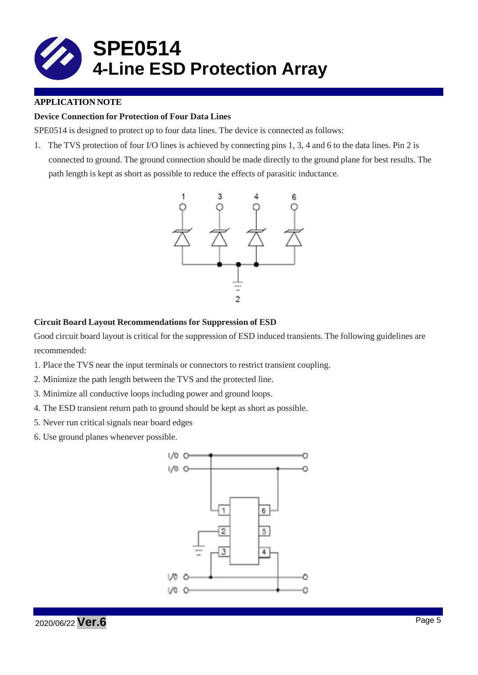

# **APPLICATION NOTE**

## **Device Connection for Protection of Four Data Lines**

SPE0514 is designed to protect up to four data lines. The device is connected as follows:

1. The TVS protection of four I/O lines is achieved by connecting pins 1, 3, 4 and 6 to the data lines. Pin 2 is connected to ground. The ground connection should be made directly to the ground plane for best results. The path length is kept as short as possible to reduce the effects of parasitic inductance.



#### **Circuit Board Layout Recommendations for Suppression of ESD**

Good circuit board layout is critical for the suppression of ESD induced transients. The following guidelines are recommended:

- 1. Place the TVS near the input terminals or connectors to restrict transient coupling.
- 2. Minimize the path length between the TVS and the protected line.
- 3. Minimize all conductive loops including power and ground loops.
- 4. The ESD transient return path to ground should be kept as short as possible.
- 5. Never run critical signals near board edges
- 6. Use ground planes whenever possible.